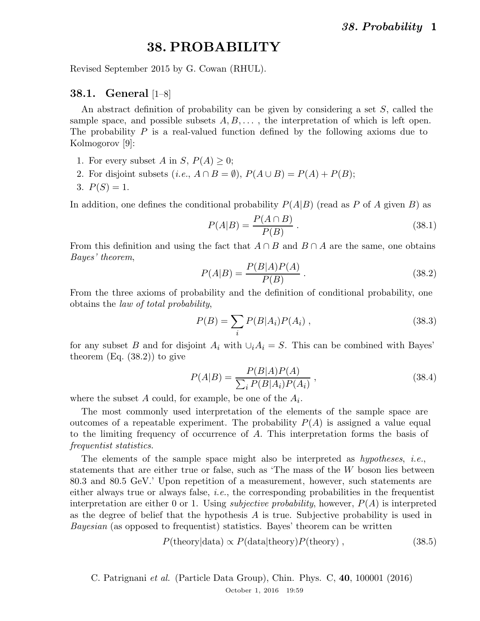# 38. PROBABILITY

Revised September 2015 by G. Cowan (RHUL).

## 38.1. General [1–8]

An abstract definition of probability can be given by considering a set S, called the sample space, and possible subsets  $A, B, \ldots$ , the interpretation of which is left open. The probability  $P$  is a real-valued function defined by the following axioms due to Kolmogorov [9]:

- 1. For every subset A in S,  $P(A) \geq 0$ ;
- 2. For disjoint subsets  $(i.e., A \cap B = \emptyset)$ ,  $P(A \cup B) = P(A) + P(B)$ ;
- 3.  $P(S) = 1$ .

In addition, one defines the conditional probability  $P(A|B)$  (read as P of A given B) as

$$
P(A|B) = \frac{P(A \cap B)}{P(B)}.
$$
\n
$$
(38.1)
$$

From this definition and using the fact that  $A \cap B$  and  $B \cap A$  are the same, one obtains Bayes' theorem,

$$
P(A|B) = \frac{P(B|A)P(A)}{P(B)}.
$$
\n(38.2)

From the three axioms of probability and the definition of conditional probability, one obtains the law of total probability,

$$
P(B) = \sum_{i} P(B|A_i)P(A_i) \,, \tag{38.3}
$$

for any subset B and for disjoint  $A_i$  with  $\bigcup_i A_i = S$ . This can be combined with Bayes' theorem  $(Eq. (38.2))$  to give

$$
P(A|B) = \frac{P(B|A)P(A)}{\sum_{i} P(B|A_i)P(A_i)},
$$
\n(38.4)

where the subset  $A$  could, for example, be one of the  $A_i$ .

The most commonly used interpretation of the elements of the sample space are outcomes of a repeatable experiment. The probability  $P(A)$  is assigned a value equal to the limiting frequency of occurrence of A. This interpretation forms the basis of frequentist statistics.

The elements of the sample space might also be interpreted as  $hypotheses$ , *i.e.*, statements that are either true or false, such as 'The mass of the  $W$  boson lies between 80.3 and 80.5 GeV.' Upon repetition of a measurement, however, such statements are either always true or always false, *i.e.*, the corresponding probabilities in the frequentist interpretation are either 0 or 1. Using *subjective probability*, however,  $P(A)$  is interpreted as the degree of belief that the hypothesis  $A$  is true. Subjective probability is used in Bayesian (as opposed to frequentist) statistics. Bayes' theorem can be written

$$
P(\text{theory}|\text{data}) \propto P(\text{data}|\text{theory})P(\text{theory}), \qquad (38.5)
$$

C. Patrignani et al. (Particle Data Group), Chin. Phys. C, 40, 100001 (2016) October 1, 2016 19:59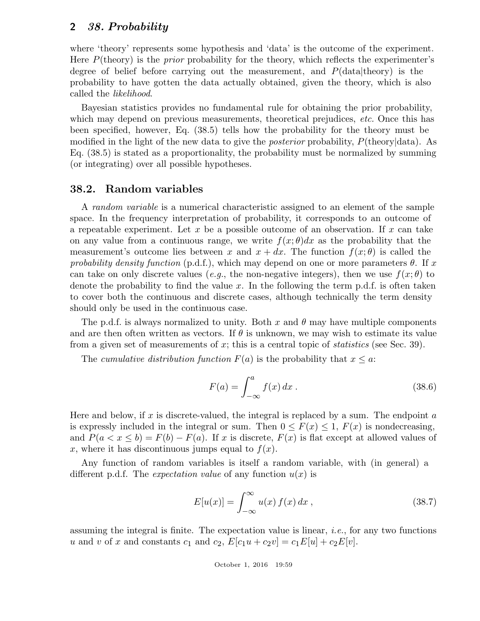where 'theory' represents some hypothesis and 'data' is the outcome of the experiment. Here  $P(\text{theory})$  is the *prior* probability for the theory, which reflects the experimenter's degree of belief before carrying out the measurement, and  $P(\text{data}|\text{theory})$  is the probability to have gotten the data actually obtained, given the theory, which is also called the likelihood.

Bayesian statistics provides no fundamental rule for obtaining the prior probability, which may depend on previous measurements, theoretical prejudices, *etc*. Once this has been specified, however, Eq. (38.5) tells how the probability for the theory must be modified in the light of the new data to give the posterior probability, P(theory|data). As Eq. (38.5) is stated as a proportionality, the probability must be normalized by summing (or integrating) over all possible hypotheses.

#### 38.2. Random variables

A random variable is a numerical characteristic assigned to an element of the sample space. In the frequency interpretation of probability, it corresponds to an outcome of a repeatable experiment. Let x be a possible outcome of an observation. If x can take on any value from a continuous range, we write  $f(x; \theta)dx$  as the probability that the measurement's outcome lies between x and  $x + dx$ . The function  $f(x; \theta)$  is called the probability density function (p.d.f.), which may depend on one or more parameters  $\theta$ . If x can take on only discrete values (e.g., the non-negative integers), then we use  $f(x; \theta)$  to denote the probability to find the value x. In the following the term p.d.f. is often taken to cover both the continuous and discrete cases, although technically the term density should only be used in the continuous case.

The p.d.f. is always normalized to unity. Both x and  $\theta$  may have multiple components and are then often written as vectors. If  $\theta$  is unknown, we may wish to estimate its value from a given set of measurements of x; this is a central topic of *statistics* (see Sec. 39).

The cumulative distribution function  $F(a)$  is the probability that  $x \leq a$ :

$$
F(a) = \int_{-\infty}^{a} f(x) dx . \qquad (38.6)
$$

Here and below, if x is discrete-valued, the integral is replaced by a sum. The endpoint  $a$ is expressly included in the integral or sum. Then  $0 \leq F(x) \leq 1$ ,  $F(x)$  is nondecreasing, and  $P(a < x < b) = F(b) - F(a)$ . If x is discrete,  $F(x)$  is flat except at allowed values of x, where it has discontinuous jumps equal to  $f(x)$ .

Any function of random variables is itself a random variable, with (in general) a different p.d.f. The *expectation value* of any function  $u(x)$  is

$$
E[u(x)] = \int_{-\infty}^{\infty} u(x) f(x) dx , \qquad (38.7)
$$

assuming the integral is finite. The expectation value is linear, *i.e.*, for any two functions u and v of x and constants  $c_1$  and  $c_2$ ,  $E[c_1u + c_2v] = c_1E[u] + c_2E[v]$ .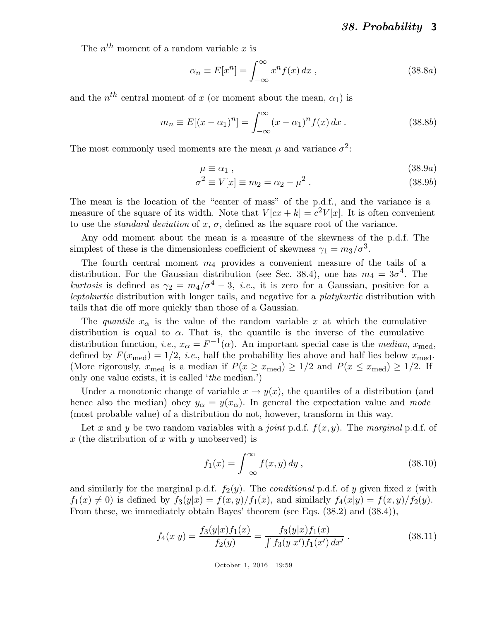The  $n^{th}$  moment of a random variable x is

$$
\alpha_n \equiv E[x^n] = \int_{-\infty}^{\infty} x^n f(x) \, dx \,, \tag{38.8a}
$$

and the  $n^{th}$  central moment of x (or moment about the mean,  $\alpha_1$ ) is

$$
m_n \equiv E[(x - \alpha_1)^n] = \int_{-\infty}^{\infty} (x - \alpha_1)^n f(x) \, dx \,. \tag{38.8b}
$$

The most commonly used moments are the mean  $\mu$  and variance  $\sigma^2$ :

$$
\mu \equiv \alpha_1 \; , \tag{38.9a}
$$

$$
\sigma^2 \equiv V[x] \equiv m_2 = \alpha_2 - \mu^2. \qquad (38.9b)
$$

The mean is the location of the "center of mass" of the p.d.f., and the variance is a measure of the square of its width. Note that  $V [cx + k] = c^2 V[x]$ . It is often convenient to use the *standard deviation* of x,  $\sigma$ , defined as the square root of the variance.

Any odd moment about the mean is a measure of the skewness of the p.d.f. The simplest of these is the dimensionless coefficient of skewness  $\gamma_1 = m_3/\sigma^3$ .

The fourth central moment  $m_4$  provides a convenient measure of the tails of a distribution. For the Gaussian distribution (see Sec. 38.4), one has  $m_4 = 3\sigma^4$ . The kurtosis is defined as  $\gamma_2 = m_4/\sigma^4 - 3$ , *i.e.*, it is zero for a Gaussian, positive for a leptokurtic distribution with longer tails, and negative for a platykurtic distribution with tails that die off more quickly than those of a Gaussian.

The quantile  $x_{\alpha}$  is the value of the random variable x at which the cumulative distribution is equal to  $\alpha$ . That is, the quantile is the inverse of the cumulative distribution function, *i.e.*,  $x_{\alpha} = F^{-1}(\alpha)$ . An important special case is the *median*,  $x_{\text{med}}$ , defined by  $F(x_{\text{med}}) = 1/2$ , *i.e.*, half the probability lies above and half lies below  $x_{\text{med}}$ . (More rigorously,  $x_{\text{med}}$  is a median if  $P(x \ge x_{\text{med}}) \ge 1/2$  and  $P(x \le x_{\text{med}}) \ge 1/2$ . If only one value exists, it is called 'the median.')

Under a monotonic change of variable  $x \to y(x)$ , the quantiles of a distribution (and hence also the median) obey  $y_{\alpha} = y(x_{\alpha})$ . In general the expectation value and mode (most probable value) of a distribution do not, however, transform in this way.

Let x and y be two random variables with a joint p.d.f.  $f(x, y)$ . The marginal p.d.f. of x (the distribution of x with y unobserved) is

$$
f_1(x) = \int_{-\infty}^{\infty} f(x, y) dy,
$$
\n(38.10)

and similarly for the marginal p.d.f.  $f_2(y)$ . The *conditional* p.d.f. of y given fixed x (with  $f_1(x) \neq 0$ ) is defined by  $f_3(y|x) = f(x, y)/f_1(x)$ , and similarly  $f_4(x|y) = f(x, y)/f_2(y)$ . From these, we immediately obtain Bayes' theorem (see Eqs. (38.2) and (38.4)),

$$
f_4(x|y) = \frac{f_3(y|x)f_1(x)}{f_2(y)} = \frac{f_3(y|x)f_1(x)}{\int f_3(y|x')f_1(x') dx'}.
$$
 (38.11)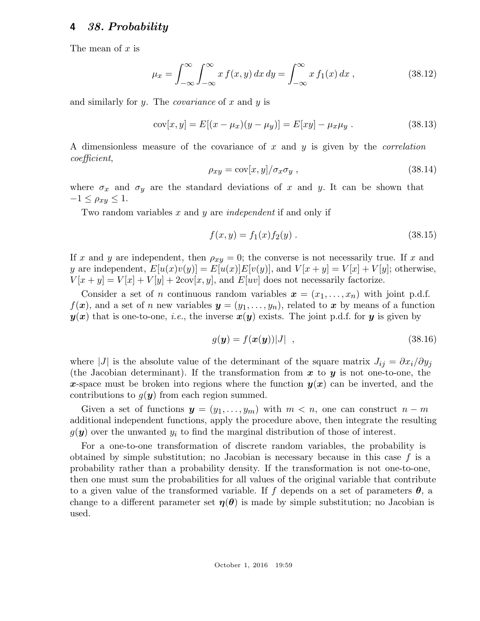The mean of  $x$  is

$$
\mu_x = \int_{-\infty}^{\infty} \int_{-\infty}^{\infty} x f(x, y) dx dy = \int_{-\infty}^{\infty} x f_1(x) dx , \qquad (38.12)
$$

and similarly for  $y$ . The *covariance* of  $x$  and  $y$  is

$$
cov[x, y] = E[(x - \mu_x)(y - \mu_y)] = E[xy] - \mu_x \mu_y.
$$
 (38.13)

A dimensionless measure of the covariance of x and y is given by the *correlation* coefficient,

$$
\rho_{xy} = \text{cov}[x, y] / \sigma_x \sigma_y , \qquad (38.14)
$$

where  $\sigma_x$  and  $\sigma_y$  are the standard deviations of x and y. It can be shown that  $-1 \leq \rho_{xy} \leq 1.$ 

Two random variables x and y are *independent* if and only if

$$
f(x,y) = f_1(x)f_2(y) . \t\t(38.15)
$$

If x and y are independent, then  $\rho_{xy} = 0$ ; the converse is not necessarily true. If x and y are independent,  $E[u(x)v(y)] = E[u(x)]E[v(y)]$ , and  $V[x + y] = V[x] + V[y]$ ; otherwise,  $V[x + y] = V[x] + V[y] + 2\text{cov}[x, y]$ , and  $E[w]$  does not necessarily factorize.

Consider a set of *n* continuous random variables  $x = (x_1, \ldots, x_n)$  with joint p.d.f.  $f(x)$ , and a set of n new variables  $y = (y_1, \ldots, y_n)$ , related to x by means of a function  $y(x)$  that is one-to-one, *i.e.*, the inverse  $x(y)$  exists. The joint p.d.f. for y is given by

$$
g(\mathbf{y}) = f(\mathbf{x}(\mathbf{y}))|J| \quad , \tag{38.16}
$$

where |J| is the absolute value of the determinant of the square matrix  $J_{ij} = \partial x_i / \partial y_j$ (the Jacobian determinant). If the transformation from  $x$  to  $y$  is not one-to-one, the x-space must be broken into regions where the function  $y(x)$  can be inverted, and the contributions to  $g(y)$  from each region summed.

Given a set of functions  $y = (y_1, \ldots, y_m)$  with  $m < n$ , one can construct  $n - m$ additional independent functions, apply the procedure above, then integrate the resulting  $g(\mathbf{y})$  over the unwanted  $y_i$  to find the marginal distribution of those of interest.

For a one-to-one transformation of discrete random variables, the probability is obtained by simple substitution; no Jacobian is necessary because in this case  $f$  is a probability rather than a probability density. If the transformation is not one-to-one, then one must sum the probabilities for all values of the original variable that contribute to a given value of the transformed variable. If f depends on a set of parameters  $\theta$ , a change to a different parameter set  $\eta(\theta)$  is made by simple substitution; no Jacobian is used.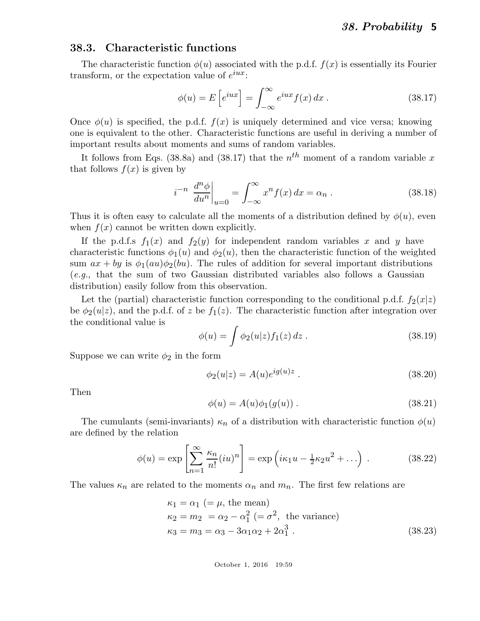### 38.3. Characteristic functions

The characteristic function  $\phi(u)$  associated with the p.d.f.  $f(x)$  is essentially its Fourier transform, or the expectation value of  $e^{iux}$ :

$$
\phi(u) = E\left[e^{iux}\right] = \int_{-\infty}^{\infty} e^{iux} f(x) dx . \qquad (38.17)
$$

Once  $\phi(u)$  is specified, the p.d.f.  $f(x)$  is uniquely determined and vice versa; knowing one is equivalent to the other. Characteristic functions are useful in deriving a number of important results about moments and sums of random variables.

It follows from Eqs. (38.8a) and (38.17) that the  $n^{th}$  moment of a random variable x that follows  $f(x)$  is given by

$$
i^{-n} \left. \frac{d^n \phi}{du^n} \right|_{u=0} = \int_{-\infty}^{\infty} x^n f(x) \, dx = \alpha_n \,. \tag{38.18}
$$

Thus it is often easy to calculate all the moments of a distribution defined by  $\phi(u)$ , even when  $f(x)$  cannot be written down explicitly.

If the p.d.f.s  $f_1(x)$  and  $f_2(y)$  for independent random variables x and y have characteristic functions  $\phi_1(u)$  and  $\phi_2(u)$ , then the characteristic function of the weighted sum  $ax + by$  is  $\phi_1(au)\phi_2(bu)$ . The rules of addition for several important distributions (e.g., that the sum of two Gaussian distributed variables also follows a Gaussian distribution) easily follow from this observation.

Let the (partial) characteristic function corresponding to the conditional p.d.f.  $f_2(x|z)$ be  $\phi_2(u|z)$ , and the p.d.f. of z be  $f_1(z)$ . The characteristic function after integration over the conditional value is

$$
\phi(u) = \int \phi_2(u|z) f_1(z) \, dz \,. \tag{38.19}
$$

Suppose we can write  $\phi_2$  in the form

$$
\phi_2(u|z) = A(u)e^{ig(u)z} . \tag{38.20}
$$

Then

$$
\phi(u) = A(u)\phi_1(g(u)) . \tag{38.21}
$$

The cumulants (semi-invariants)  $\kappa_n$  of a distribution with characteristic function  $\phi(u)$ are defined by the relation

$$
\phi(u) = \exp\left[\sum_{n=1}^{\infty} \frac{\kappa_n}{n!} (iu)^n\right] = \exp\left(i\kappa_1 u - \frac{1}{2}\kappa_2 u^2 + \ldots\right) . \tag{38.22}
$$

The values  $\kappa_n$  are related to the moments  $\alpha_n$  and  $m_n$ . The first few relations are

$$
\kappa_1 = \alpha_1 \ (= \mu, \text{ the mean})
$$
  
\n
$$
\kappa_2 = m_2 = \alpha_2 - \alpha_1^2 \ (= \sigma^2, \text{ the variance})
$$
  
\n
$$
\kappa_3 = m_3 = \alpha_3 - 3\alpha_1\alpha_2 + 2\alpha_1^3.
$$
\n(38.23)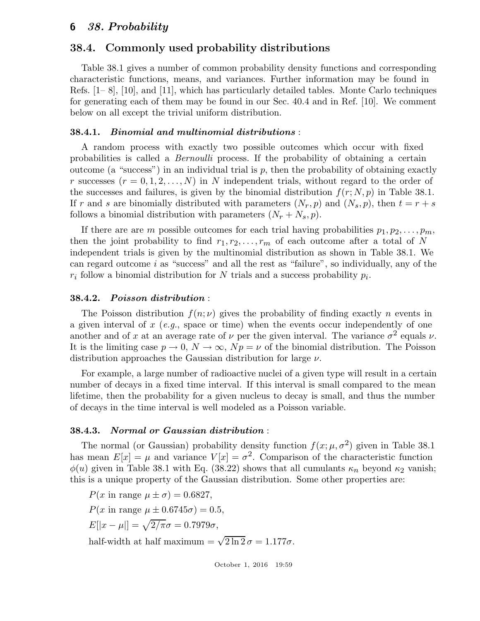# 38.4. Commonly used probability distributions

Table 38.1 gives a number of common probability density functions and corresponding characteristic functions, means, and variances. Further information may be found in Refs. [1– 8], [10], and [11], which has particularly detailed tables. Monte Carlo techniques for generating each of them may be found in our Sec. 40.4 and in Ref. [10]. We comment below on all except the trivial uniform distribution.

## 38.4.1. Binomial and multinomial distributions :

A random process with exactly two possible outcomes which occur with fixed probabilities is called a Bernoulli process. If the probability of obtaining a certain outcome (a "success") in an individual trial is  $p$ , then the probability of obtaining exactly r successes  $(r = 0, 1, 2, \ldots, N)$  in N independent trials, without regard to the order of the successes and failures, is given by the binomial distribution  $f(r; N, p)$  in Table 38.1. If r and s are binomially distributed with parameters  $(N_r, p)$  and  $(N_s, p)$ , then  $t = r + s$ follows a binomial distribution with parameters  $(N_r + N_s, p)$ .

If there are are m possible outcomes for each trial having probabilities  $p_1, p_2, \ldots, p_m$ , then the joint probability to find  $r_1, r_2, \ldots, r_m$  of each outcome after a total of N independent trials is given by the multinomial distribution as shown in Table 38.1. We can regard outcome  $i$  as "success" and all the rest as "failure", so individually, any of the  $r_i$  follow a binomial distribution for N trials and a success probability  $p_i$ .

# 38.4.2. Poisson distribution :

The Poisson distribution  $f(n; \nu)$  gives the probability of finding exactly n events in a given interval of  $x$  (e.g., space or time) when the events occur independently of one another and of x at an average rate of  $\nu$  per the given interval. The variance  $\sigma^2$  equals  $\nu$ . It is the limiting case  $p \to 0$ ,  $N \to \infty$ ,  $Np = \nu$  of the binomial distribution. The Poisson distribution approaches the Gaussian distribution for large  $\nu$ .

For example, a large number of radioactive nuclei of a given type will result in a certain number of decays in a fixed time interval. If this interval is small compared to the mean lifetime, then the probability for a given nucleus to decay is small, and thus the number of decays in the time interval is well modeled as a Poisson variable.

## 38.4.3. Normal or Gaussian distribution :

The normal (or Gaussian) probability density function  $f(x; \mu, \sigma^2)$  given in Table 38.1 has mean  $E[x] = \mu$  and variance  $V[x] = \sigma^2$ . Comparison of the characteristic function  $\phi(u)$  given in Table 38.1 with Eq. (38.22) shows that all cumulants  $\kappa_n$  beyond  $\kappa_2$  vanish; this is a unique property of the Gaussian distribution. Some other properties are:

 $P(x \text{ in range } \mu \pm \sigma) = 0.6827,$ 

 $P(x \text{ in range } \mu \pm 0.6745\sigma) = 0.5$ 

 $E[|x - \mu|] = \sqrt{2/\pi} \sigma = 0.7979\sigma,$ 

half-width at half maximum =  $\sqrt{2 \ln 2} \sigma = 1.177 \sigma$ .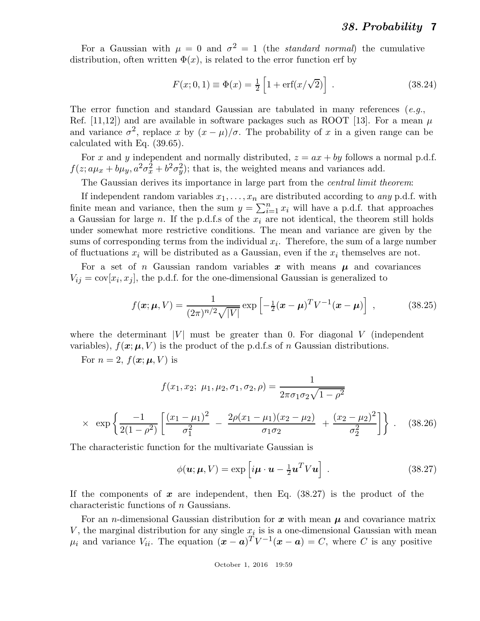For a Gaussian with  $\mu = 0$  and  $\sigma^2 = 1$  (the *standard normal*) the cumulative distribution, often written  $\Phi(x)$ , is related to the error function erf by

$$
F(x; 0, 1) \equiv \Phi(x) = \frac{1}{2} \left[ 1 + \text{erf}(x/\sqrt{2}) \right] \,. \tag{38.24}
$$

The error function and standard Gaussian are tabulated in many references  $(e.g.,)$ Ref. [11,12]) and are available in software packages such as ROOT [13]. For a mean  $\mu$ and variance  $\sigma^2$ , replace x by  $(x - \mu)/\sigma$ . The probability of x in a given range can be calculated with Eq. (39.65).

For x and y independent and normally distributed,  $z = ax + by$  follows a normal p.d.f.  $f(z; a\mu_x + b\mu_y, a^2\sigma_x^2 + b^2\sigma_y^2)$ ; that is, the weighted means and variances add.

The Gaussian derives its importance in large part from the *central limit theorem*:

If independent random variables  $x_1, \ldots, x_n$  are distributed according to any p.d.f. with finite mean and variance, then the sum  $y = \sum_{i=1}^{n} x_i$  will have a p.d.f. that approaches a Gaussian for large n. If the p.d.f.s of the  $x_i$  are not identical, the theorem still holds under somewhat more restrictive conditions. The mean and variance are given by the sums of corresponding terms from the individual  $x_i$ . Therefore, the sum of a large number of fluctuations  $x_i$  will be distributed as a Gaussian, even if the  $x_i$  themselves are not.

For a set of n Gaussian random variables x with means  $\mu$  and covariances  $V_{ij} = \text{cov}[x_i, x_j]$ , the p.d.f. for the one-dimensional Gaussian is generalized to

$$
f(\mathbf{x}; \boldsymbol{\mu}, V) = \frac{1}{(2\pi)^{n/2} \sqrt{|V|}} \exp\left[-\frac{1}{2}(\mathbf{x} - \boldsymbol{\mu})^T V^{-1}(\mathbf{x} - \boldsymbol{\mu})\right] , \qquad (38.25)
$$

where the determinant |V| must be greater than 0. For diagonal V (independent variables),  $f(\mathbf{x}; \boldsymbol{\mu}, V)$  is the product of the p.d.f.s of n Gaussian distributions.

For  $n = 2$ ,  $f(\mathbf{x}; \boldsymbol{\mu}, V)$  is

$$
f(x_1, x_2; \mu_1, \mu_2, \sigma_1, \sigma_2, \rho) = \frac{1}{2\pi\sigma_1\sigma_2\sqrt{1-\rho^2}}
$$

$$
\times \exp\left\{\frac{-1}{2(1-\rho^2)}\left[\frac{(x_1-\mu_1)^2}{\sigma_1^2} - \frac{2\rho(x_1-\mu_1)(x_2-\mu_2)}{\sigma_1\sigma_2} + \frac{(x_2-\mu_2)^2}{\sigma_2^2}\right]\right\}.
$$
 (38.26)

The characteristic function for the multivariate Gaussian is

$$
\phi(\mathbf{u}; \boldsymbol{\mu}, V) = \exp\left[i\mathbf{\mu} \cdot \mathbf{u} - \frac{1}{2}\mathbf{u}^T V \mathbf{u}\right].
$$
 (38.27)

If the components of  $x$  are independent, then Eq. (38.27) is the product of the characteristic functions of n Gaussians.

For an *n*-dimensional Gaussian distribution for x with mean  $\mu$  and covariance matrix V, the marginal distribution for any single  $x_i$  is is a one-dimensional Gaussian with mean  $\mu_i$  and variance  $V_{ii}$ . The equation  $(\mathbf{x} - \mathbf{a})^T V^{-1}(\mathbf{x} - \mathbf{a}) = C$ , where C is any positive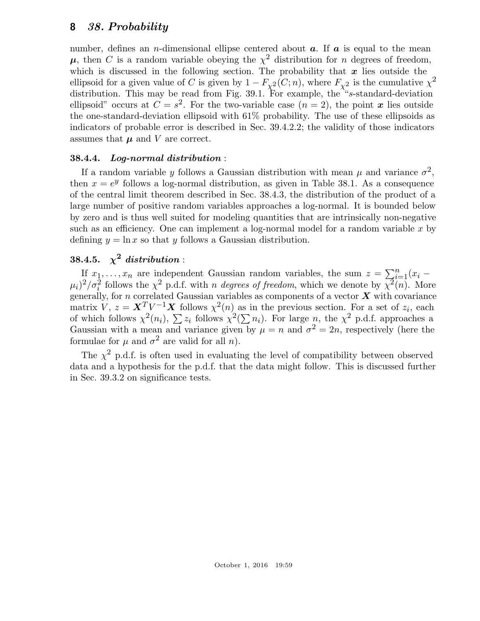number, defines an *n*-dimensional ellipse centered about  $a$ . If  $a$  is equal to the mean  $\mu$ , then C is a random variable obeying the  $\chi^2$  distribution for n degrees of freedom, which is discussed in the following section. The probability that  $x$  lies outside the ellipsoid for a given value of C is given by  $1 - F_{\chi^2}(C; n)$ , where  $F_{\chi^2}$  is the cumulative  $\chi^2$ distribution. This may be read from Fig. 39.1. For example, the "s-standard-deviation" ellipsoid" occurs at  $C = s^2$ . For the two-variable case  $(n = 2)$ , the point x lies outside the one-standard-deviation ellipsoid with 61% probability. The use of these ellipsoids as indicators of probable error is described in Sec. 39.4.2.2; the validity of those indicators assumes that  $\mu$  and V are correct.

## 38.4.4. Log-normal distribution :

If a random variable y follows a Gaussian distribution with mean  $\mu$  and variance  $\sigma^2$ , then  $x = e^y$  follows a log-normal distribution, as given in Table 38.1. As a consequence of the central limit theorem described in Sec. 38.4.3, the distribution of the product of a large number of positive random variables approaches a log-normal. It is bounded below by zero and is thus well suited for modeling quantities that are intrinsically non-negative such as an efficiency. One can implement a log-normal model for a random variable  $x$  by defining  $y = \ln x$  so that y follows a Gaussian distribution.

# 38.4.5.  $\chi^2$  distribution :

If  $x_1, \ldots, x_n$  are independent Gaussian random variables, the sum  $z = \sum_{i=1}^n (x_i - z_i)$  $(\mu_i)^2/\sigma_i^2$  follows the  $\chi^2$  p.d.f. with n degrees of freedom, which we denote by  $\overline{\chi^2}(n)$ . More generally, for n correlated Gaussian variables as components of a vector  $X$  with covariance matrix  $V, z = \mathbf{X}^T V^{-1} \mathbf{X}$  follows  $\chi^2(n)$  as in the previous section. For a set of  $z_i$ , each of which follows  $\chi^2(n_i)$ ,  $\sum z_i$  follows  $\chi^2(\sum n_i)$ . For large n, the  $\chi^2$  p.d.f. approaches a Gaussian with a mean and variance given by  $\mu = n$  and  $\sigma^2 = 2n$ , respectively (here the formulae for  $\mu$  and  $\sigma^2$  are valid for all n).

The  $\chi^2$  p.d.f. is often used in evaluating the level of compatibility between observed data and a hypothesis for the p.d.f. that the data might follow. This is discussed further in Sec. 39.3.2 on significance tests.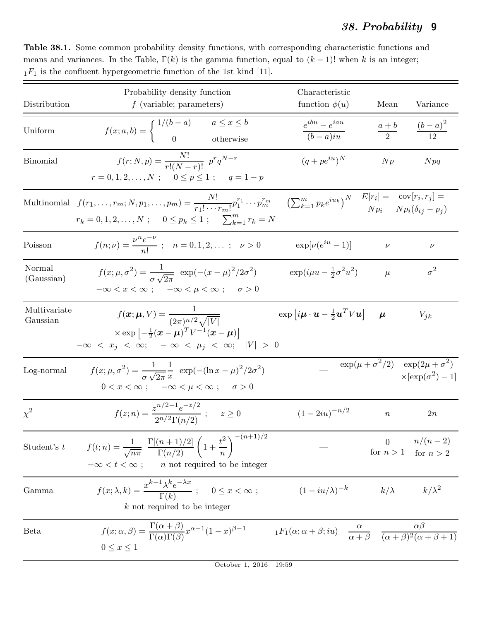Table 38.1. Some common probability density functions, with corresponding characteristic functions and means and variances. In the Table,  $\Gamma(k)$  is the gamma function, equal to  $(k-1)!$  when k is an integer;  $_1F_1$  is the confluent hypergeometric function of the 1st kind [11].

|                            | Probability density function                                                                                                                                                                                                                                                                                | Characteristic                                                                                                                                      |             |                                                                                    |
|----------------------------|-------------------------------------------------------------------------------------------------------------------------------------------------------------------------------------------------------------------------------------------------------------------------------------------------------------|-----------------------------------------------------------------------------------------------------------------------------------------------------|-------------|------------------------------------------------------------------------------------|
| Distribution               | $f$ (variable; parameters)                                                                                                                                                                                                                                                                                  | function $\phi(u)$                                                                                                                                  | Mean        | Variance                                                                           |
| Uniform                    | $f(x;a,b) = \begin{cases} 1/(b-a) & a \leq x \leq b \\ 0 & \text{otherwise} \end{cases}$                                                                                                                                                                                                                    | $e^{ibu} - e^{iau}$<br>$(b-a)iu$                                                                                                                    |             | $\frac{a+b}{2} \qquad \frac{(b-a)^2}{12}$                                          |
| Binomial                   | $f(r; N, p) = \frac{N!}{r!(N-r)!} p^r q^{N-r}$<br>$r = 0, 1, 2, \ldots, N; \quad 0 \leq p \leq 1; \quad q = 1 - p$                                                                                                                                                                                          | $(q + pe^{iu})^N$                                                                                                                                   | Np          | Npq                                                                                |
|                            | Multinomial $f(r_1,,r_m; N, p_1,,p_m) = \frac{N!}{r_1! \cdots r_m!} p_1^{r_1} \cdots p_m^{r_m}$ $\left(\sum_{k=1}^m p_k e^{iu_k}\right)^N \frac{E[r_i]}{N p_i} = \frac{\text{cov}[r_i, r_j]}{N p_i (\delta_{ij} - p_j)}$<br>$r_k = 0, 1, 2, \ldots, N; \quad 0 \leq p_k \leq 1; \quad \sum_{k=1}^m r_k = N$ |                                                                                                                                                     |             |                                                                                    |
| Poisson                    | $f(n; \nu) = \frac{\nu^n e^{-\nu}}{n!}$ ; $n = 0, 1, 2, $ ; $\nu > 0$                                                                                                                                                                                                                                       | $\exp[\nu(e^{iu}-1)]$                                                                                                                               | $\nu$       | $\nu$                                                                              |
| Normal<br>(Gaussian)       | $f(x; \mu, \sigma^2) = \frac{1}{\sigma \sqrt{2\pi}} \exp(-(x-\mu)^2/2\sigma^2)$<br>$-\infty < x < \infty$ ; $-\infty < \mu < \infty$ ; $\sigma > 0$                                                                                                                                                         | $\exp(i\mu u - \frac{1}{2}\sigma^2 u^2)$                                                                                                            | $\mu$       | $\sigma^2$                                                                         |
| Multivariate<br>Gaussian   | $f(\bm{x}; \bm{\mu}, V) = \frac{1}{(2\pi)^{n/2} \sqrt{ V }}$<br>$\times \exp\left[-\frac{1}{2}(\boldsymbol{x}-\boldsymbol{\mu})^T V^{-1}(\boldsymbol{x}-\boldsymbol{\mu})\right]$<br>$-\infty < x_j < \infty$ ; $-\infty < \mu_j < \infty$ ;  V  > 0                                                        | $\exp[i\mu \cdot \boldsymbol{u} - \frac{1}{2} \boldsymbol{u}^T V \boldsymbol{u}]$                                                                   | $\mu$       | $V_{jk}$                                                                           |
| Log-normal                 | $f(x; \mu, \sigma^2) = \frac{1}{\sigma \sqrt{2\pi}} \frac{1}{x} \exp(-(\ln x - \mu)^2/2\sigma^2)$<br>$0 < x < \infty$ ; $-\infty < \mu < \infty$ ; $\sigma > 0$                                                                                                                                             |                                                                                                                                                     |             | $\exp(\mu + \sigma^2/2) \exp(2\mu + \sigma^2)$<br>$\times$ [exp( $\sigma^2$ ) – 1] |
| $\chi^2$                   | $f(z; n) = \frac{z^{n/2 - 1}e^{-z/2}}{2^{n/2}\Gamma(n/2)}$ ; $z \ge 0$                                                                                                                                                                                                                                      | $(1-2iu)^{-n/2}$                                                                                                                                    | $\, n$      | 2n                                                                                 |
| Student's $\boldsymbol{t}$ | $f(t; n) = \frac{1}{\sqrt{n\pi}} \frac{\Gamma[(n+1)/2]}{\Gamma(n/2)} \left(1 + \frac{t^2}{n}\right)^{-(n+1)/2}$<br><i>n</i> not required to be integer<br>$-\infty < t < \infty;$                                                                                                                           |                                                                                                                                                     | $\theta$    | $n/(n-2)$<br>for $n > 1$ for $n > 2$                                               |
| Gamma                      | $f(x; \lambda, k) = \frac{x^{k-1} \lambda^k e^{-\lambda x}}{\Gamma(k)}; \quad 0 \leq x < \infty;$<br>$k$ not required to be integer                                                                                                                                                                         | $(1-iu/\lambda)^{-k}$                                                                                                                               | $k/\lambda$ | $k/\lambda^2$                                                                      |
| Beta                       | $f(x; \alpha, \beta) = \frac{\Gamma(\alpha + \beta)}{\Gamma(\alpha)\Gamma(\beta)} x^{\alpha - 1} (1 - x)^{\beta - 1}$<br>$0 \leq x \leq 1$                                                                                                                                                                  | ${}_{1}F_{1}(\alpha; \alpha + \beta; i\overline{u})$ $\frac{\alpha}{\alpha + \beta}$ $\frac{\alpha\beta}{(\alpha + \beta)^{2}(\alpha + \beta + 1)}$ |             |                                                                                    |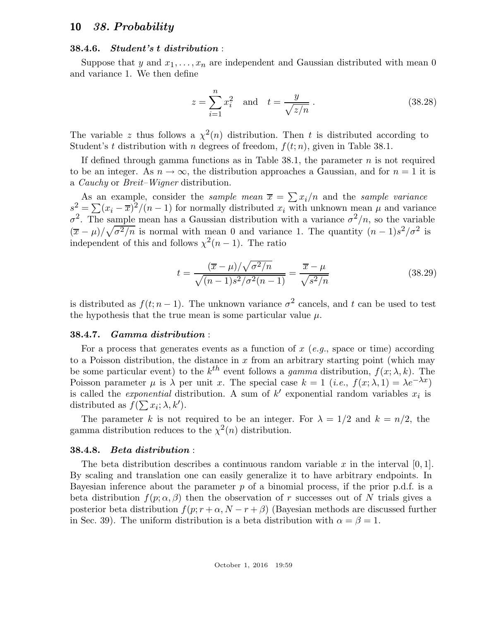#### 38.4.6. Student's t distribution :

Suppose that y and  $x_1, \ldots, x_n$  are independent and Gaussian distributed with mean 0 and variance 1. We then define

$$
z = \sum_{i=1}^{n} x_i^2
$$
 and  $t = \frac{y}{\sqrt{z/n}}$ . (38.28)

The variable z thus follows a  $\chi^2(n)$  distribution. Then t is distributed according to Student's t distribution with n degrees of freedom,  $f(t; n)$ , given in Table 38.1.

If defined through gamma functions as in Table 38.1, the parameter  $n$  is not required to be an integer. As  $n \to \infty$ , the distribution approaches a Gaussian, and for  $n = 1$  it is a Cauchy or Breit–Wigner distribution.

As an example, consider the *sample mean*  $\overline{x} = \sum x_i/n$  and the *sample variance*  $s^2 = \sum (x_i - \overline{x})^2/(n-1)$  for normally distributed  $x_i$  with unknown mean  $\mu$  and variance  $\sigma^2$ . The sample mean has a Gaussian distribution with a variance  $\sigma^2/n$ , so the variable  $(\bar{x} - \mu)/\sqrt{\sigma^2/n}$  is normal with mean 0 and variance 1. The quantity  $(n-1)s^2/\sigma^2$  is independent of this and follows  $\chi^2(n-1)$ . The ratio

$$
t = \frac{(\overline{x} - \mu)/\sqrt{\sigma^2/n}}{\sqrt{(n-1)s^2/\sigma^2(n-1)}} = \frac{\overline{x} - \mu}{\sqrt{s^2/n}}\tag{38.29}
$$

is distributed as  $f(t; n-1)$ . The unknown variance  $\sigma^2$  cancels, and t can be used to test the hypothesis that the true mean is some particular value  $\mu$ .

#### 38.4.7. Gamma distribution :

For a process that generates events as a function of  $x$  (e.g., space or time) according to a Poisson distribution, the distance in x from an arbitrary starting point (which may be some particular event) to the  $k^{th}$  event follows a gamma distribution,  $f(x; \lambda, k)$ . The Poisson parameter  $\mu$  is  $\lambda$  per unit x. The special case  $k = 1$  (*i.e.*,  $f(x; \lambda, 1) = \lambda e^{-\lambda x}$ ) is called the *exponential* distribution. A sum of k' exponential random variables  $x_i$  is distributed as  $f(\sum x_i; \lambda, k')$ .

The parameter k is not required to be an integer. For  $\lambda = 1/2$  and  $k = n/2$ , the gamma distribution reduces to the  $\chi^2(n)$  distribution.

#### 38.4.8. Beta distribution :

The beta distribution describes a continuous random variable x in the interval  $[0, 1]$ . By scaling and translation one can easily generalize it to have arbitrary endpoints. In Bayesian inference about the parameter  $p$  of a binomial process, if the prior p.d.f. is a beta distribution  $f(p; \alpha, \beta)$  then the observation of r successes out of N trials gives a posterior beta distribution  $f(p; r + \alpha, N - r + \beta)$  (Bayesian methods are discussed further in Sec. 39). The uniform distribution is a beta distribution with  $\alpha = \beta = 1$ .